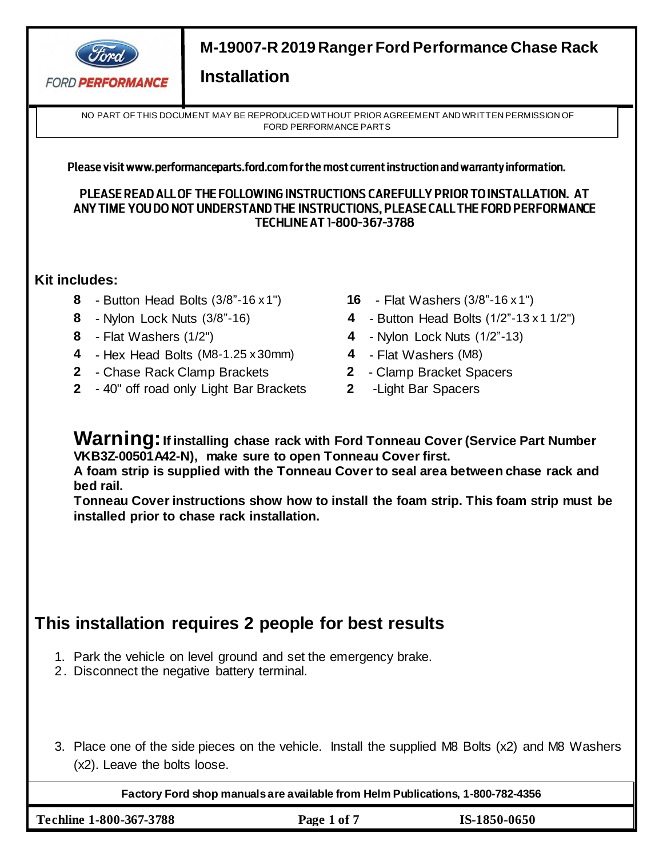

NO PART OF THIS DOCUMENT MAY BE REPRODUCED WITHOUT PRIOR AGREEMENT AND WRITTEN PERMISSION OF FORD PERFORMANCE PARTS

### Please visit www.performanceparts.ford.com for the most current instruction and warranty information.

PLEASE READ ALL OF THE FOLLOWING INSTRUCTIONS CAREFULLY PRIOR TO INSTALLATION. AT ANY TIME YOU DO NOT UNDERSTAND THE INSTRUCTIONS, PLEASE CALL THE FORD PERFORMANCE **TECHLINE AT 1-800-367-3788** 

### **Kit includes:**

- **8**  Button Head Bolts (3/8"-16 x 1") **16**  Flat Washers (3/8"-16 x 1")
- 
- 
- **4**  Hex Head Bolts (M8-1.25 x 30mm) **4**  Flat Washers (M8)
- **2** Chase Rack Clamp Brackets **2** Clamp Bracket Spacers
- **2** 40" off road only Light Bar Brackets **2** -Light Bar Spacers
- 
- **8** Nylon Lock Nuts (3/8"-16) **4**  Button Head Bolts (1/2"-13 x 1 1/2")
- **8** Flat Washers (1/2") **4**  Nylon Lock Nuts (1/2"-13)
	-
	-
	-

**Warning:If installing chase rack with Ford Tonneau Cover (Service Part Number VKB3Z-00501A42-N), make sure to open Tonneau Cover first.** 

**A foam strip is supplied with the Tonneau Cover to seal area between chase rack and bed rail.**

**Tonneau Cover instructions show how to install the foam strip. This foam strip must be installed prior to chase rack installation.**

# **This installation requires 2 people for best results**

- 1. Park the vehicle on level ground and set the emergency brake.
- 2. Disconnect the negative battery terminal.
- 3. Place one of the side pieces on the vehicle. Install the supplied M8 Bolts (x2) and M8 Washers (x2). Leave the bolts loose.

**Factory Ford shop manuals are available from Helm Publications, 1-800-782-4356**

**Techline 1-800-367-3788 Page 1 of 7 IS-1850-0650**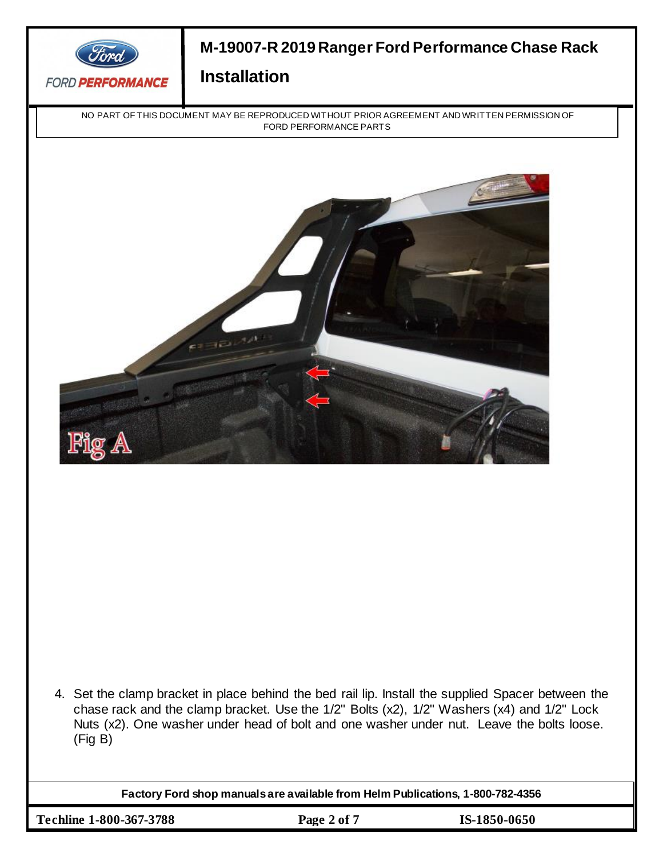

NO PART OF THIS DOCUMENT MAY BE REPRODUCED WITHOUT PRIOR AGREEMENT AND WRITTEN PERMISSION OF FORD PERFORMANCE PARTS



4. Set the clamp bracket in place behind the bed rail lip. Install the supplied Spacer between the chase rack and the clamp bracket. Use the 1/2" Bolts (x2), 1/2" Washers (x4) and 1/2" Lock Nuts (x2). One washer under head of bolt and one washer under nut. Leave the bolts loose. (Fig B)

**Factory Ford shop manuals are available from Helm Publications, 1-800-782-4356**

**Techline 1-800-367-3788 Page 2 of 7 IS-1850-0650**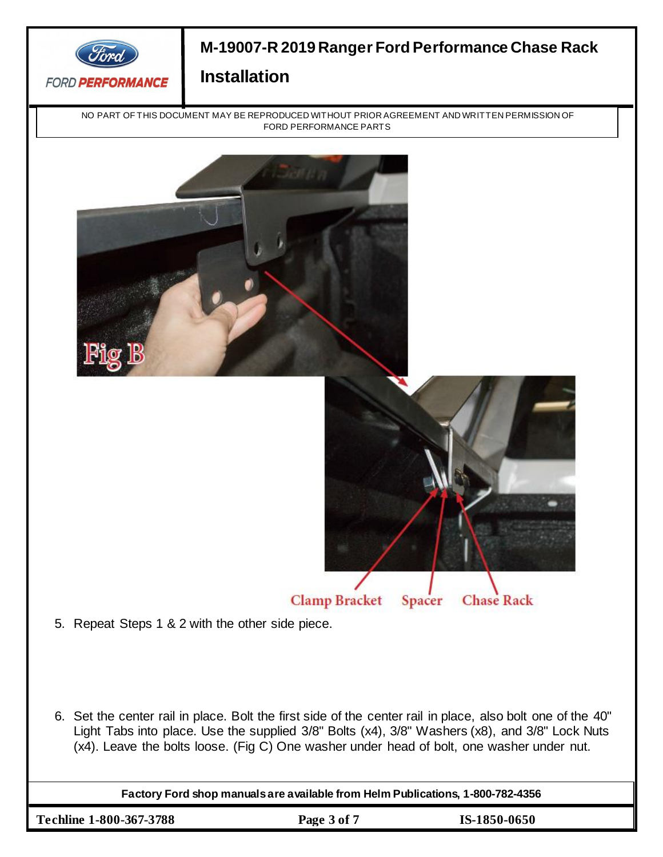

NO PART OF THIS DOCUMENT MAY BE REPRODUCED WITHOUT PRIOR AGREEMENT AND WRITTEN PERMISSION OF FORD PERFORMANCE PARTS



6. Set the center rail in place. Bolt the first side of the center rail in place, also bolt one of the 40" Light Tabs into place. Use the supplied 3/8" Bolts (x4), 3/8" Washers (x8), and 3/8" Lock Nuts (x4). Leave the bolts loose. (Fig C) One washer under head of bolt, one washer under nut.

**Factory Ford shop manuals are available from Helm Publications, 1-800-782-4356**

**Techline 1-800-367-3788 Page 3 of 7 IS-1850-0650**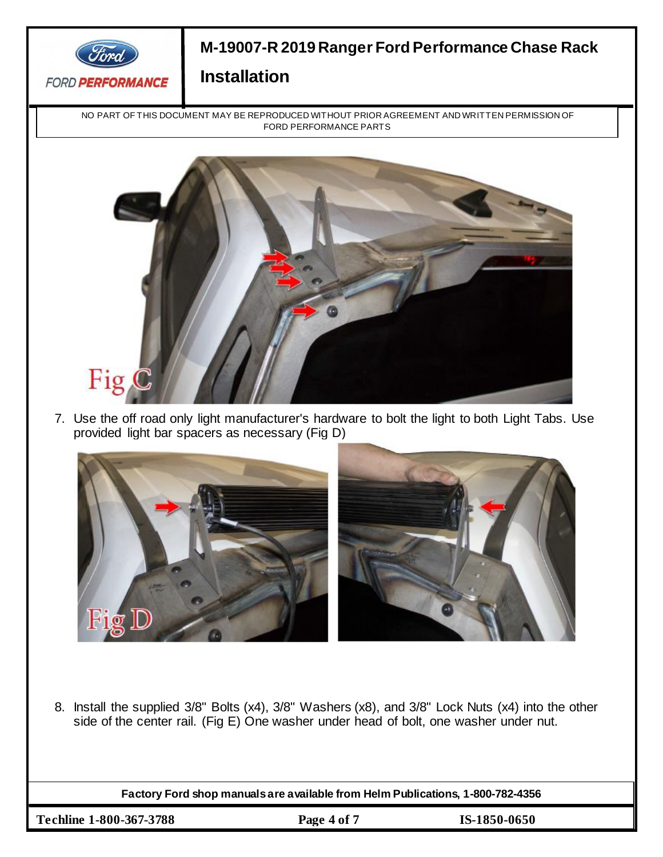

NO PART OF THIS DOCUMENT MAY BE REPRODUCED WITHOUT PRIOR AGREEMENT AND WRITTEN PERMISSION OF FORD PERFORMANCE PARTS



7. Use the off road only light manufacturer's hardware to bolt the light to both Light Tabs. Use provided light bar spacers as necessary (Fig D)



8. Install the supplied 3/8" Bolts (x4), 3/8" Washers (x8), and 3/8" Lock Nuts (x4) into the other side of the center rail. (Fig E) One washer under head of bolt, one washer under nut.

**Factory Ford shop manuals are available from Helm Publications, 1-800-782-4356**

**Techline 1-800-367-3788 Page 4 of 7 IS-1850-0650**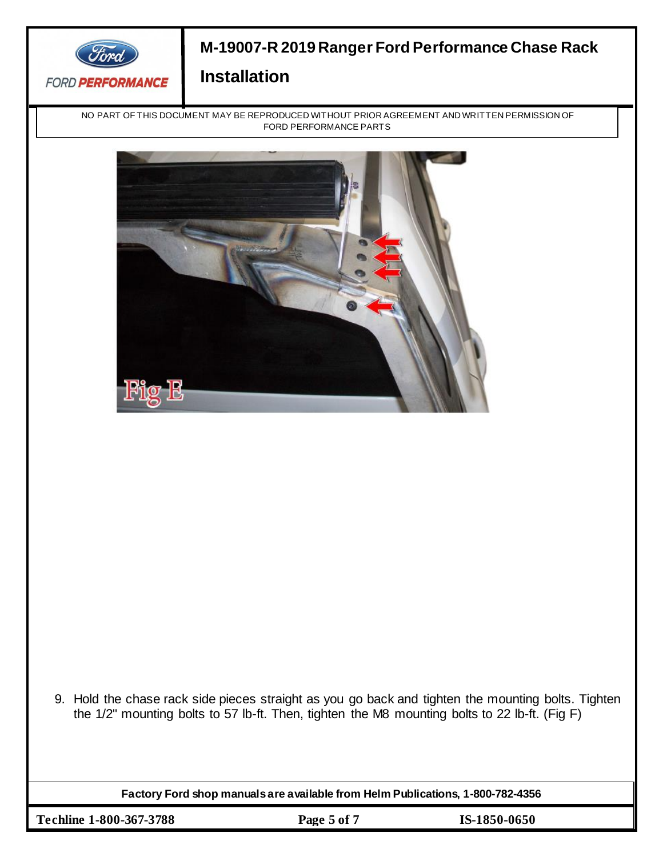

NO PART OF THIS DOCUMENT MAY BE REPRODUCED WITHOUT PRIOR AGREEMENT AND WRITTEN PERMISSION OF FORD PERFORMANCE PARTS



9. Hold the chase rack side pieces straight as you go back and tighten the mounting bolts. Tighten the 1/2" mounting bolts to 57 lb-ft. Then, tighten the M8 mounting bolts to 22 lb-ft. (Fig F)

**Factory Ford shop manuals are available from Helm Publications, 1-800-782-4356**

**Techline 1-800-367-3788 Page 5 of 7 IS-1850-0650**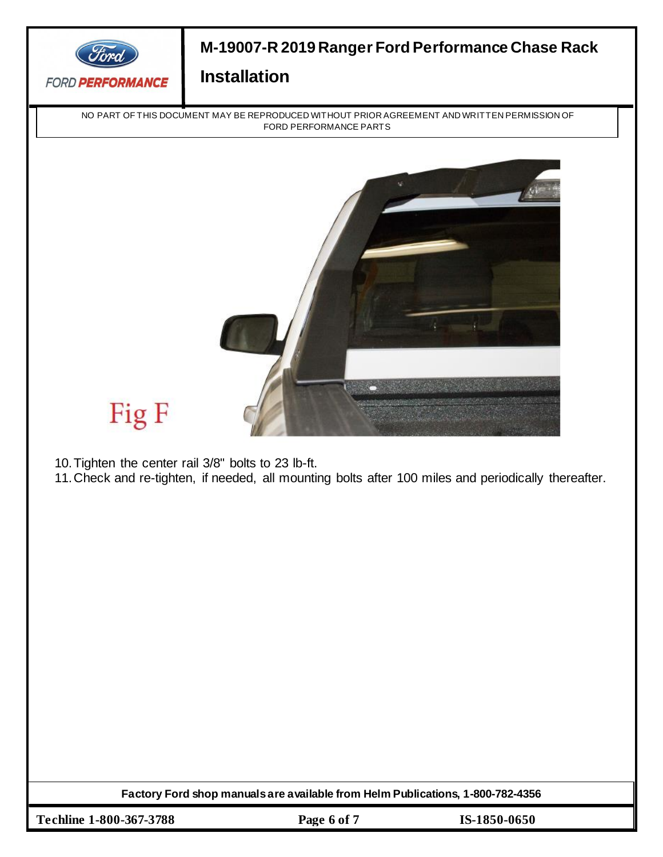

NO PART OF THIS DOCUMENT MAY BE REPRODUCED WITHOUT PRIOR AGREEMENT AND WRITTEN PERMISSION OF FORD PERFORMANCE PARTS



# Fig F

10.Tighten the center rail 3/8" bolts to 23 lb-ft.

11.Check and re-tighten, if needed, all mounting bolts after 100 miles and periodically thereafter.

**Factory Ford shop manuals are available from Helm Publications, 1-800-782-4356**

**Techline 1-800-367-3788 Page 6 of 7 IS-1850-0650**